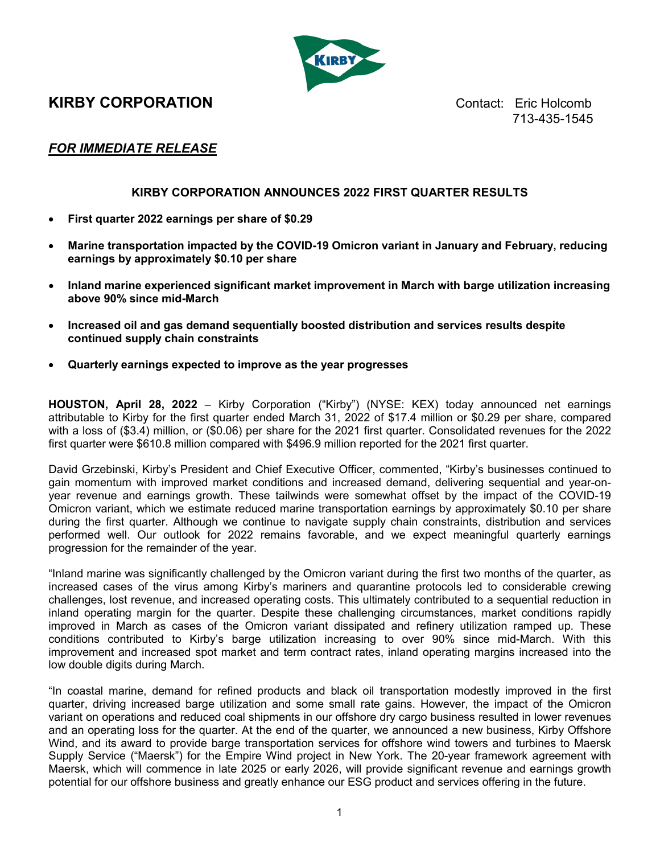

# **KIRBY CORPORATION Contact: Eric Holcomb**

713-435-1545

## *FOR IMMEDIATE RELEASE*

## **KIRBY CORPORATION ANNOUNCES 2022 FIRST QUARTER RESULTS**

- **First quarter 2022 earnings per share of \$0.29**
- **Marine transportation impacted by the COVID-19 Omicron variant in January and February, reducing earnings by approximately \$0.10 per share**
- **Inland marine experienced significant market improvement in March with barge utilization increasing above 90% since mid-March**
- **Increased oil and gas demand sequentially boosted distribution and services results despite continued supply chain constraints**
- **Quarterly earnings expected to improve as the year progresses**

**HOUSTON, April 28, 2022** – Kirby Corporation ("Kirby") (NYSE: KEX) today announced net earnings attributable to Kirby for the first quarter ended March 31, 2022 of \$17.4 million or \$0.29 per share, compared with a loss of (\$3.4) million, or (\$0.06) per share for the 2021 first quarter. Consolidated revenues for the 2022 first quarter were \$610.8 million compared with \$496.9 million reported for the 2021 first quarter.

David Grzebinski, Kirby's President and Chief Executive Officer, commented, "Kirby's businesses continued to gain momentum with improved market conditions and increased demand, delivering sequential and year-onyear revenue and earnings growth. These tailwinds were somewhat offset by the impact of the COVID-19 Omicron variant, which we estimate reduced marine transportation earnings by approximately \$0.10 per share during the first quarter. Although we continue to navigate supply chain constraints, distribution and services performed well. Our outlook for 2022 remains favorable, and we expect meaningful quarterly earnings progression for the remainder of the year.

"Inland marine was significantly challenged by the Omicron variant during the first two months of the quarter, as increased cases of the virus among Kirby's mariners and quarantine protocols led to considerable crewing challenges, lost revenue, and increased operating costs. This ultimately contributed to a sequential reduction in inland operating margin for the quarter. Despite these challenging circumstances, market conditions rapidly improved in March as cases of the Omicron variant dissipated and refinery utilization ramped up. These conditions contributed to Kirby's barge utilization increasing to over 90% since mid-March. With this improvement and increased spot market and term contract rates, inland operating margins increased into the low double digits during March.

"In coastal marine, demand for refined products and black oil transportation modestly improved in the first quarter, driving increased barge utilization and some small rate gains. However, the impact of the Omicron variant on operations and reduced coal shipments in our offshore dry cargo business resulted in lower revenues and an operating loss for the quarter. At the end of the quarter, we announced a new business, Kirby Offshore Wind, and its award to provide barge transportation services for offshore wind towers and turbines to Maersk Supply Service ("Maersk") for the Empire Wind project in New York. The 20-year framework agreement with Maersk, which will commence in late 2025 or early 2026, will provide significant revenue and earnings growth potential for our offshore business and greatly enhance our ESG product and services offering in the future.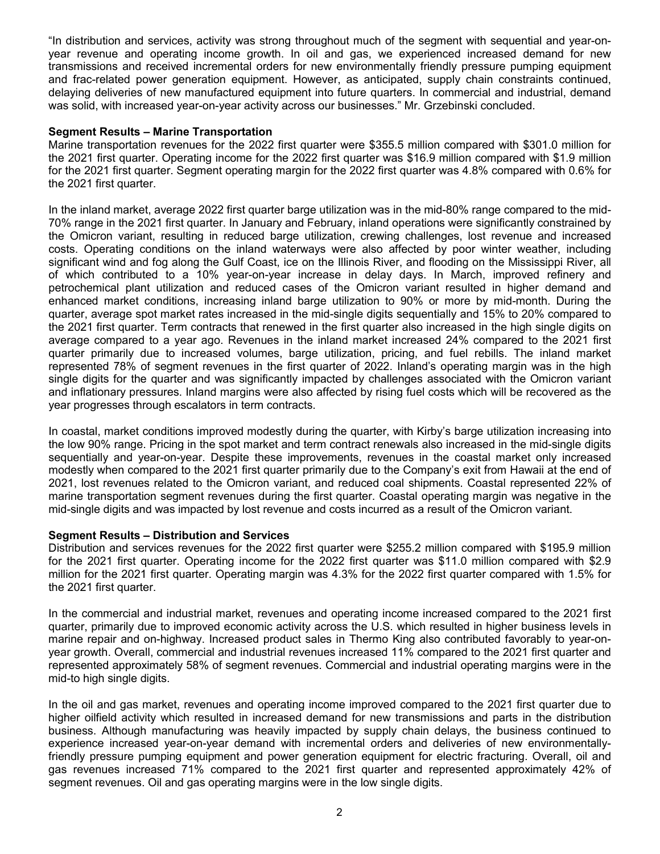"In distribution and services, activity was strong throughout much of the segment with sequential and year-onyear revenue and operating income growth. In oil and gas, we experienced increased demand for new transmissions and received incremental orders for new environmentally friendly pressure pumping equipment and frac-related power generation equipment. However, as anticipated, supply chain constraints continued, delaying deliveries of new manufactured equipment into future quarters. In commercial and industrial, demand was solid, with increased year-on-year activity across our businesses." Mr. Grzebinski concluded.

### **Segment Results – Marine Transportation**

Marine transportation revenues for the 2022 first quarter were \$355.5 million compared with \$301.0 million for the 2021 first quarter. Operating income for the 2022 first quarter was \$16.9 million compared with \$1.9 million for the 2021 first quarter. Segment operating margin for the 2022 first quarter was 4.8% compared with 0.6% for the 2021 first quarter.

In the inland market, average 2022 first quarter barge utilization was in the mid-80% range compared to the mid-70% range in the 2021 first quarter. In January and February, inland operations were significantly constrained by the Omicron variant, resulting in reduced barge utilization, crewing challenges, lost revenue and increased costs. Operating conditions on the inland waterways were also affected by poor winter weather, including significant wind and fog along the Gulf Coast, ice on the Illinois River, and flooding on the Mississippi River, all of which contributed to a 10% year-on-year increase in delay days. In March, improved refinery and petrochemical plant utilization and reduced cases of the Omicron variant resulted in higher demand and enhanced market conditions, increasing inland barge utilization to 90% or more by mid-month. During the quarter, average spot market rates increased in the mid-single digits sequentially and 15% to 20% compared to the 2021 first quarter. Term contracts that renewed in the first quarter also increased in the high single digits on average compared to a year ago. Revenues in the inland market increased 24% compared to the 2021 first quarter primarily due to increased volumes, barge utilization, pricing, and fuel rebills. The inland market represented 78% of segment revenues in the first quarter of 2022. Inland's operating margin was in the high single digits for the quarter and was significantly impacted by challenges associated with the Omicron variant and inflationary pressures. Inland margins were also affected by rising fuel costs which will be recovered as the year progresses through escalators in term contracts.

In coastal, market conditions improved modestly during the quarter, with Kirby's barge utilization increasing into the low 90% range. Pricing in the spot market and term contract renewals also increased in the mid-single digits sequentially and year-on-year. Despite these improvements, revenues in the coastal market only increased modestly when compared to the 2021 first quarter primarily due to the Company's exit from Hawaii at the end of 2021, lost revenues related to the Omicron variant, and reduced coal shipments. Coastal represented 22% of marine transportation segment revenues during the first quarter. Coastal operating margin was negative in the mid-single digits and was impacted by lost revenue and costs incurred as a result of the Omicron variant.

#### **Segment Results – Distribution and Services**

Distribution and services revenues for the 2022 first quarter were \$255.2 million compared with \$195.9 million for the 2021 first quarter. Operating income for the 2022 first quarter was \$11.0 million compared with \$2.9 million for the 2021 first quarter. Operating margin was 4.3% for the 2022 first quarter compared with 1.5% for the 2021 first quarter.

In the commercial and industrial market, revenues and operating income increased compared to the 2021 first quarter, primarily due to improved economic activity across the U.S. which resulted in higher business levels in marine repair and on-highway. Increased product sales in Thermo King also contributed favorably to year-onyear growth. Overall, commercial and industrial revenues increased 11% compared to the 2021 first quarter and represented approximately 58% of segment revenues. Commercial and industrial operating margins were in the mid-to high single digits.

In the oil and gas market, revenues and operating income improved compared to the 2021 first quarter due to higher oilfield activity which resulted in increased demand for new transmissions and parts in the distribution business. Although manufacturing was heavily impacted by supply chain delays, the business continued to experience increased year-on-year demand with incremental orders and deliveries of new environmentallyfriendly pressure pumping equipment and power generation equipment for electric fracturing. Overall, oil and gas revenues increased 71% compared to the 2021 first quarter and represented approximately 42% of segment revenues. Oil and gas operating margins were in the low single digits.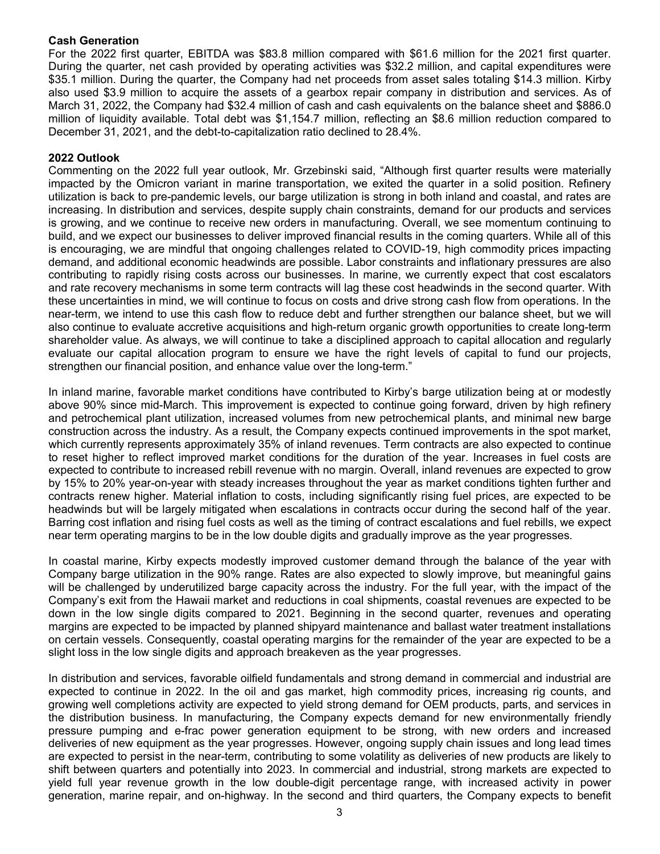### **Cash Generation**

For the 2022 first quarter, EBITDA was \$83.8 million compared with \$61.6 million for the 2021 first quarter. During the quarter, net cash provided by operating activities was \$32.2 million, and capital expenditures were \$35.1 million. During the quarter, the Company had net proceeds from asset sales totaling \$14.3 million. Kirby also used \$3.9 million to acquire the assets of a gearbox repair company in distribution and services. As of March 31, 2022, the Company had \$32.4 million of cash and cash equivalents on the balance sheet and \$886.0 million of liquidity available. Total debt was \$1,154.7 million, reflecting an \$8.6 million reduction compared to December 31, 2021, and the debt-to-capitalization ratio declined to 28.4%.

## **2022 Outlook**

Commenting on the 2022 full year outlook, Mr. Grzebinski said, "Although first quarter results were materially impacted by the Omicron variant in marine transportation, we exited the quarter in a solid position. Refinery utilization is back to pre-pandemic levels, our barge utilization is strong in both inland and coastal, and rates are increasing. In distribution and services, despite supply chain constraints, demand for our products and services is growing, and we continue to receive new orders in manufacturing. Overall, we see momentum continuing to build, and we expect our businesses to deliver improved financial results in the coming quarters. While all of this is encouraging, we are mindful that ongoing challenges related to COVID-19, high commodity prices impacting demand, and additional economic headwinds are possible. Labor constraints and inflationary pressures are also contributing to rapidly rising costs across our businesses. In marine, we currently expect that cost escalators and rate recovery mechanisms in some term contracts will lag these cost headwinds in the second quarter. With these uncertainties in mind, we will continue to focus on costs and drive strong cash flow from operations. In the near-term, we intend to use this cash flow to reduce debt and further strengthen our balance sheet, but we will also continue to evaluate accretive acquisitions and high-return organic growth opportunities to create long-term shareholder value. As always, we will continue to take a disciplined approach to capital allocation and regularly evaluate our capital allocation program to ensure we have the right levels of capital to fund our projects, strengthen our financial position, and enhance value over the long-term."

In inland marine, favorable market conditions have contributed to Kirby's barge utilization being at or modestly above 90% since mid-March. This improvement is expected to continue going forward, driven by high refinery and petrochemical plant utilization, increased volumes from new petrochemical plants, and minimal new barge construction across the industry. As a result, the Company expects continued improvements in the spot market, which currently represents approximately 35% of inland revenues. Term contracts are also expected to continue to reset higher to reflect improved market conditions for the duration of the year. Increases in fuel costs are expected to contribute to increased rebill revenue with no margin. Overall, inland revenues are expected to grow by 15% to 20% year-on-year with steady increases throughout the year as market conditions tighten further and contracts renew higher. Material inflation to costs, including significantly rising fuel prices, are expected to be headwinds but will be largely mitigated when escalations in contracts occur during the second half of the year. Barring cost inflation and rising fuel costs as well as the timing of contract escalations and fuel rebills, we expect near term operating margins to be in the low double digits and gradually improve as the year progresses.

In coastal marine, Kirby expects modestly improved customer demand through the balance of the year with Company barge utilization in the 90% range. Rates are also expected to slowly improve, but meaningful gains will be challenged by underutilized barge capacity across the industry. For the full year, with the impact of the Company's exit from the Hawaii market and reductions in coal shipments, coastal revenues are expected to be down in the low single digits compared to 2021. Beginning in the second quarter, revenues and operating margins are expected to be impacted by planned shipyard maintenance and ballast water treatment installations on certain vessels. Consequently, coastal operating margins for the remainder of the year are expected to be a slight loss in the low single digits and approach breakeven as the year progresses.

In distribution and services, favorable oilfield fundamentals and strong demand in commercial and industrial are expected to continue in 2022. In the oil and gas market, high commodity prices, increasing rig counts, and growing well completions activity are expected to yield strong demand for OEM products, parts, and services in the distribution business. In manufacturing, the Company expects demand for new environmentally friendly pressure pumping and e-frac power generation equipment to be strong, with new orders and increased deliveries of new equipment as the year progresses. However, ongoing supply chain issues and long lead times are expected to persist in the near-term, contributing to some volatility as deliveries of new products are likely to shift between quarters and potentially into 2023. In commercial and industrial, strong markets are expected to yield full year revenue growth in the low double-digit percentage range, with increased activity in power generation, marine repair, and on-highway. In the second and third quarters, the Company expects to benefit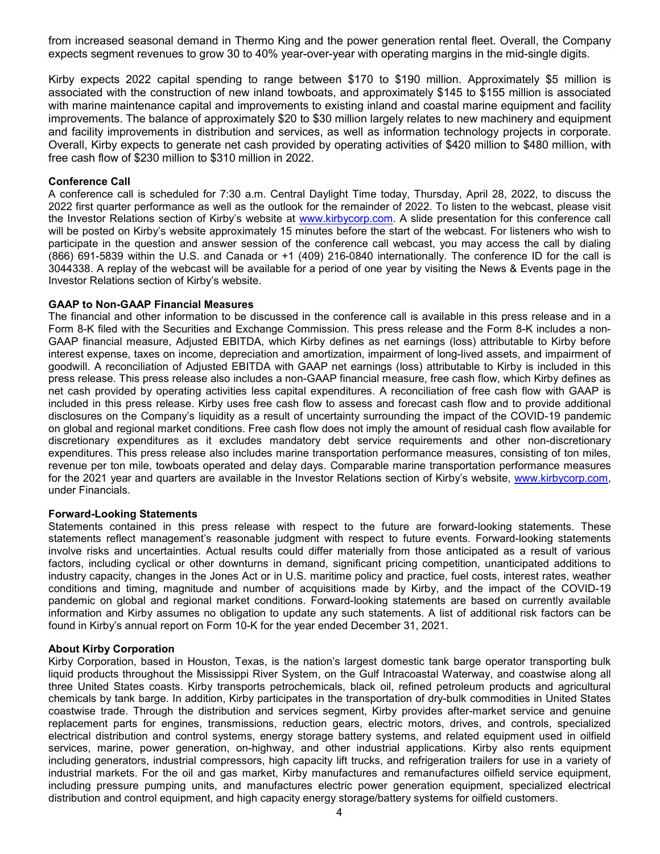from increased seasonal demand in Thermo King and the power generation rental fleet. Overall, the Company expects segment revenues to grow 30 to 40% year-over-year with operating margins in the mid-single digits.

Kirby expects 2022 capital spending to range between \$170 to \$190 million. Approximately \$5 million is associated with the construction of new inland towboats, and approximately \$145 to \$155 million is associated with marine maintenance capital and improvements to existing inland and coastal marine equipment and facility improvements. The balance of approximately \$20 to \$30 million largely relates to new machinery and equipment and facility improvements in distribution and services, as well as information technology projects in corporate. Overall, Kirby expects to generate net cash provided by operating activities of \$420 million to \$480 million, with free cash flow of \$230 million to \$310 million in 2022.

#### **Conference Call**

A conference call is scheduled for 7:30 a.m. Central Daylight Time today, Thursday, April 28, 2022, to discuss the 2022 first quarter performance as well as the outlook for the remainder of 2022. To listen to the webcast, please visit the Investor Relations section of Kirby's website at [www.kirbycorp.com.](http://www.kirbycorp.com/) A slide presentation for this conference call will be posted on Kirby's website approximately 15 minutes before the start of the webcast. For listeners who wish to participate in the question and answer session of the conference call webcast, you may access the call by dialing (866) 691-5839 within the U.S. and Canada or +1 (409) 216-0840 internationally. The conference ID for the call is 3044338. A replay of the webcast will be available for a period of one year by visiting the News & Events page in the Investor Relations section of Kirby's website.

#### **GAAP to Non-GAAP Financial Measures**

The financial and other information to be discussed in the conference call is available in this press release and in a Form 8-K filed with the Securities and Exchange Commission. This press release and the Form 8-K includes a non-GAAP financial measure, Adjusted EBITDA, which Kirby defines as net earnings (loss) attributable to Kirby before interest expense, taxes on income, depreciation and amortization, impairment of long-lived assets, and impairment of goodwill. A reconciliation of Adjusted EBITDA with GAAP net earnings (loss) attributable to Kirby is included in this press release. This press release also includes a non-GAAP financial measure, free cash flow, which Kirby defines as net cash provided by operating activities less capital expenditures. A reconciliation of free cash flow with GAAP is included in this press release. Kirby uses free cash flow to assess and forecast cash flow and to provide additional disclosures on the Company's liquidity as a result of uncertainty surrounding the impact of the COVID-19 pandemic on global and regional market conditions. Free cash flow does not imply the amount of residual cash flow available for discretionary expenditures as it excludes mandatory debt service requirements and other non-discretionary expenditures. This press release also includes marine transportation performance measures, consisting of ton miles, revenue per ton mile, towboats operated and delay days. Comparable marine transportation performance measures for the 2021 year and quarters are available in the Investor Relations section of Kirby's website, [www.kirbycorp.com,](http://www.kirbycorp.com/) under Financials.

#### **Forward-Looking Statements**

Statements contained in this press release with respect to the future are forward-looking statements. These statements reflect management's reasonable judgment with respect to future events. Forward-looking statements involve risks and uncertainties. Actual results could differ materially from those anticipated as a result of various factors, including cyclical or other downturns in demand, significant pricing competition, unanticipated additions to industry capacity, changes in the Jones Act or in U.S. maritime policy and practice, fuel costs, interest rates, weather conditions and timing, magnitude and number of acquisitions made by Kirby, and the impact of the COVID-19 pandemic on global and regional market conditions. Forward-looking statements are based on currently available information and Kirby assumes no obligation to update any such statements. A list of additional risk factors can be found in Kirby's annual report on Form 10-K for the year ended December 31, 2021.

#### **About Kirby Corporation**

Kirby Corporation, based in Houston, Texas, is the nation's largest domestic tank barge operator transporting bulk liquid products throughout the Mississippi River System, on the Gulf Intracoastal Waterway, and coastwise along all three United States coasts. Kirby transports petrochemicals, black oil, refined petroleum products and agricultural chemicals by tank barge. In addition, Kirby participates in the transportation of dry-bulk commodities in United States coastwise trade. Through the distribution and services segment, Kirby provides after-market service and genuine replacement parts for engines, transmissions, reduction gears, electric motors, drives, and controls, specialized electrical distribution and control systems, energy storage battery systems, and related equipment used in oilfield services, marine, power generation, on-highway, and other industrial applications. Kirby also rents equipment including generators, industrial compressors, high capacity lift trucks, and refrigeration trailers for use in a variety of industrial markets. For the oil and gas market, Kirby manufactures and remanufactures oilfield service equipment, including pressure pumping units, and manufactures electric power generation equipment, specialized electrical distribution and control equipment, and high capacity energy storage/battery systems for oilfield customers.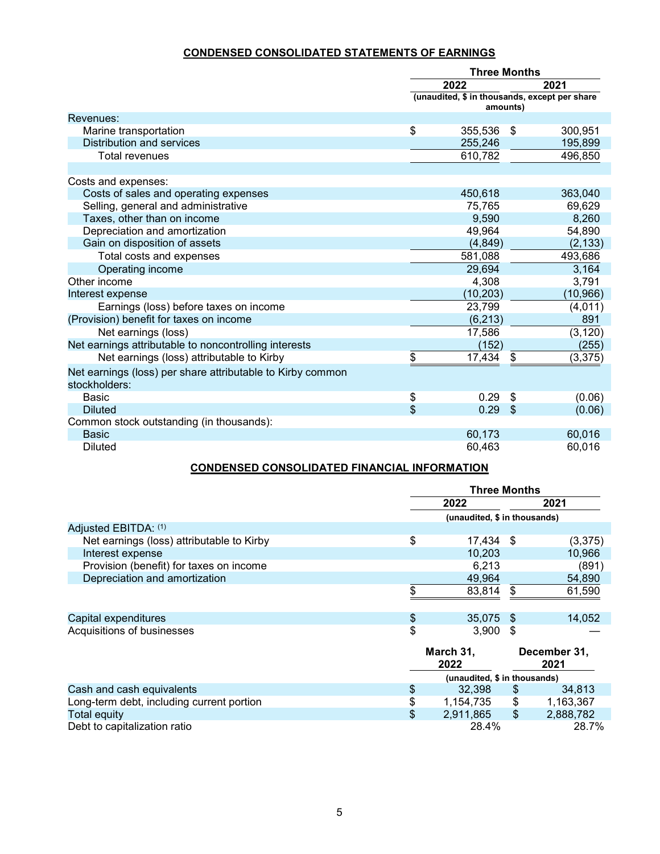## **CONDENSED CONSOLIDATED STATEMENTS OF EARNINGS**

|                                                            |          | <b>Three Months</b> |          |                                               |
|------------------------------------------------------------|----------|---------------------|----------|-----------------------------------------------|
|                                                            |          | 2022                |          | 2021                                          |
|                                                            |          | amounts)            |          | (unaudited, \$ in thousands, except per share |
| Revenues:                                                  |          |                     |          |                                               |
| Marine transportation                                      | \$       | 355,536             | \$       | 300,951                                       |
| Distribution and services                                  |          | 255,246             |          | 195,899                                       |
| <b>Total revenues</b>                                      |          | 610,782             |          | 496,850                                       |
| Costs and expenses:                                        |          |                     |          |                                               |
| Costs of sales and operating expenses                      |          | 450,618             |          | 363,040                                       |
| Selling, general and administrative                        |          | 75,765              |          | 69,629                                        |
| Taxes, other than on income                                |          | 9,590               |          | 8,260                                         |
| Depreciation and amortization                              |          | 49,964              |          | 54,890                                        |
| Gain on disposition of assets                              |          | (4, 849)            |          | (2, 133)                                      |
| Total costs and expenses                                   |          | 581,088             |          | 493,686                                       |
| Operating income                                           |          | 29,694              |          | 3,164                                         |
| Other income                                               |          | 4,308               |          | 3,791                                         |
| Interest expense                                           |          | (10, 203)           |          | (10, 966)                                     |
| Earnings (loss) before taxes on income                     |          | 23,799              |          | (4,011)                                       |
| (Provision) benefit for taxes on income                    |          | (6, 213)            |          | 891                                           |
| Net earnings (loss)                                        |          | 17,586              |          | (3, 120)                                      |
| Net earnings attributable to noncontrolling interests      |          | (152)               |          | (255)                                         |
| Net earnings (loss) attributable to Kirby                  | \$       | 17,434              | \$       | (3,375)                                       |
| Net earnings (loss) per share attributable to Kirby common |          |                     |          |                                               |
| stockholders:                                              |          | 0.29                |          |                                               |
| <b>Basic</b><br><b>Diluted</b>                             | \$<br>\$ | 0.29                | \$<br>\$ | (0.06)                                        |
|                                                            |          |                     |          | (0.06)                                        |
| Common stock outstanding (in thousands):<br><b>Basic</b>   |          |                     |          | 60,016                                        |
| <b>Diluted</b>                                             |          | 60,173              |          |                                               |
|                                                            |          | 60,463              |          | 60,016                                        |

## **CONDENSED CONSOLIDATED FINANCIAL INFORMATION**

|                                           | <b>Three Months</b>          |           |      |         |
|-------------------------------------------|------------------------------|-----------|------|---------|
|                                           |                              | 2022      |      | 2021    |
|                                           | (unaudited, \$ in thousands) |           |      |         |
| Adjusted EBITDA: (1)                      |                              |           |      |         |
| Net earnings (loss) attributable to Kirby | \$                           | 17,434 \$ |      | (3,375) |
| Interest expense                          |                              | 10,203    |      | 10,966  |
| Provision (benefit) for taxes on income   |                              | 6,213     |      | (891)   |
| Depreciation and amortization             |                              | 49,964    |      | 54,890  |
|                                           |                              | 83,814    |      | 61,590  |
|                                           |                              |           |      |         |
| Capital expenditures                      | \$                           | 35,075    | - \$ | 14,052  |
| Acquisitions of businesses                | \$                           | 3,900     |      |         |

|                                           | March 31,<br>2022 |                              |    | December 31,<br>2021 |  |
|-------------------------------------------|-------------------|------------------------------|----|----------------------|--|
|                                           |                   | (unaudited, \$ in thousands) |    |                      |  |
| Cash and cash equivalents                 | S                 | 32,398                       | \$ | 34.813               |  |
| Long-term debt, including current portion | S                 | 1.154.735                    | \$ | 1,163,367            |  |
| <b>Total equity</b>                       | \$                | 2,911,865                    | \$ | 2,888,782            |  |
| Debt to capitalization ratio              |                   | 28.4%                        |    | 28.7%                |  |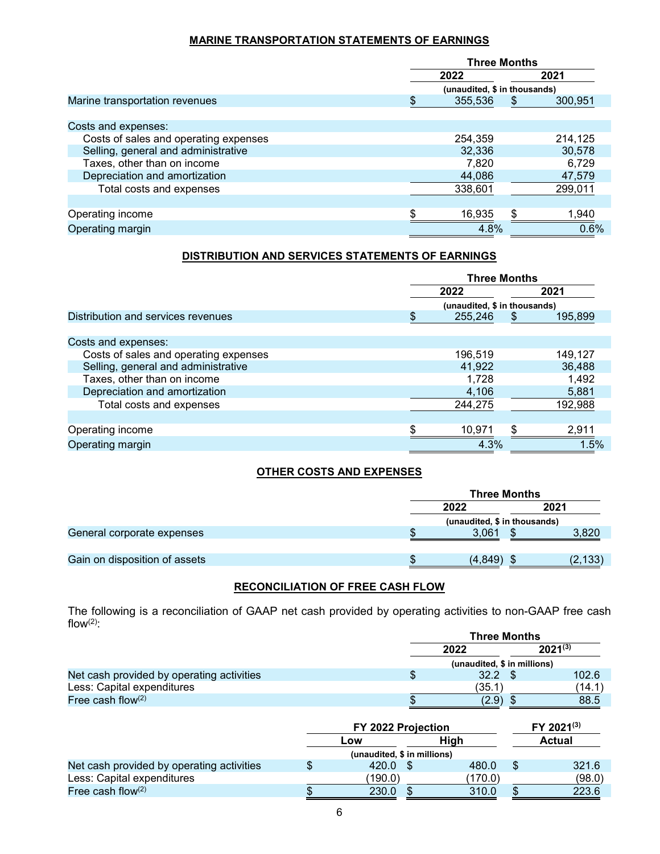### **MARINE TRANSPORTATION STATEMENTS OF EARNINGS**

|                                       |                              | <b>Three Months</b> |     |         |  |
|---------------------------------------|------------------------------|---------------------|-----|---------|--|
|                                       |                              | 2022                |     | 2021    |  |
|                                       | (unaudited, \$ in thousands) |                     |     |         |  |
| Marine transportation revenues        | \$                           | 355,536             | \$  | 300,951 |  |
|                                       |                              |                     |     |         |  |
| Costs and expenses:                   |                              |                     |     |         |  |
| Costs of sales and operating expenses |                              | 254,359             |     | 214,125 |  |
| Selling, general and administrative   |                              | 32,336              |     | 30,578  |  |
| Taxes, other than on income           |                              | 7,820               |     | 6,729   |  |
| Depreciation and amortization         |                              | 44,086              |     | 47,579  |  |
| Total costs and expenses              |                              | 338,601             |     | 299,011 |  |
|                                       |                              |                     |     |         |  |
| Operating income                      | \$                           | 16,935              | \$. | 1,940   |  |
| Operating margin                      |                              | 4.8%                |     | 0.6%    |  |
|                                       |                              |                     |     |         |  |

## **DISTRIBUTION AND SERVICES STATEMENTS OF EARNINGS**

|                                       | <b>Three Months</b> |                              |      |         |
|---------------------------------------|---------------------|------------------------------|------|---------|
|                                       | 2022                |                              | 2021 |         |
|                                       |                     | (unaudited, \$ in thousands) |      |         |
| Distribution and services revenues    |                     | 255,246                      | S    | 195,899 |
|                                       |                     |                              |      |         |
| Costs and expenses:                   |                     |                              |      |         |
| Costs of sales and operating expenses |                     | 196,519                      |      | 149,127 |
| Selling, general and administrative   |                     | 41,922                       |      | 36,488  |
| Taxes, other than on income           |                     | 1,728                        |      | 1,492   |
| Depreciation and amortization         |                     | 4,106                        |      | 5,881   |
| Total costs and expenses              |                     | 244,275                      |      | 192,988 |
|                                       |                     |                              |      |         |
| Operating income                      |                     | 10,971                       |      | 2,911   |
| Operating margin                      |                     | 4.3%                         |      | 1.5%    |

## **OTHER COSTS AND EXPENSES**

|                               | <b>Three Months</b>          |  |          |  |
|-------------------------------|------------------------------|--|----------|--|
|                               | 2022                         |  | 2021     |  |
|                               | (unaudited, \$ in thousands) |  |          |  |
| General corporate expenses    | 3.061                        |  | 3,820    |  |
|                               |                              |  |          |  |
| Gain on disposition of assets | (4.849)                      |  | (2, 133) |  |

## **RECONCILIATION OF FREE CASH FLOW**

The following is a reconciliation of GAAP net cash provided by operating activities to non-GAAP free cash flow $(2)$ :

|                                           |   | <b>Three Months</b>         |  |              |  |
|-------------------------------------------|---|-----------------------------|--|--------------|--|
|                                           |   | 2022                        |  | $2021^{(3)}$ |  |
|                                           |   | (unaudited, \$ in millions) |  |              |  |
| Net cash provided by operating activities | S | 32.2                        |  | 102.6        |  |
| Less: Capital expenditures                |   | (35.1                       |  | (14.1)       |  |
| Free cash flow $(2)$                      |   | (2.9)                       |  | 88.5         |  |

|                                           | FY 2022 Projection          |         |  | FY 2021 <sup>(3)</sup> |  |  |
|-------------------------------------------|-----------------------------|---------|--|------------------------|--|--|
|                                           | Low                         | Hiah    |  | <b>Actual</b>          |  |  |
|                                           | (unaudited, \$ in millions) |         |  |                        |  |  |
| Net cash provided by operating activities | 420.0                       | 480.0   |  | 321.6                  |  |  |
| Less: Capital expenditures                | (190.0)                     | (170.0) |  | (98.0)                 |  |  |
| Free cash flow $(2)$                      | 230.0                       | 310.0   |  | 223.6                  |  |  |